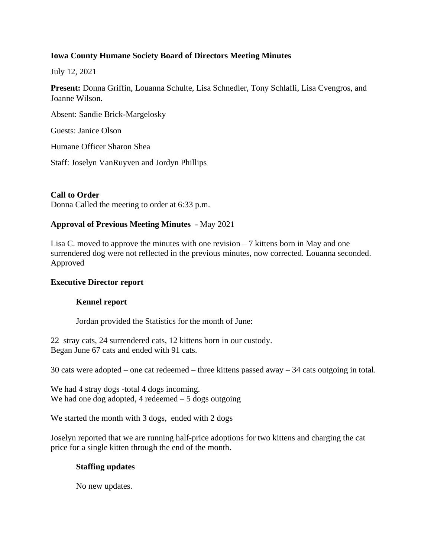# **Iowa County Humane Society Board of Directors Meeting Minutes**

July 12, 2021

**Present:** Donna Griffin, Louanna Schulte, Lisa Schnedler, Tony Schlafli, Lisa Cvengros, and Joanne Wilson.

Absent: Sandie Brick-Margelosky

Guests: Janice Olson

Humane Officer Sharon Shea

Staff: Joselyn VanRuyven and Jordyn Phillips

# **Call to Order**

Donna Called the meeting to order at 6:33 p.m.

# **Approval of Previous Meeting Minutes** - May 2021

Lisa C. moved to approve the minutes with one revision  $-7$  kittens born in May and one surrendered dog were not reflected in the previous minutes, now corrected. Louanna seconded. Approved

### **Executive Director report**

# **Kennel report**

Jordan provided the Statistics for the month of June:

22 stray cats, 24 surrendered cats, 12 kittens born in our custody. Began June 67 cats and ended with 91 cats.

30 cats were adopted – one cat redeemed – three kittens passed away – 34 cats outgoing in total.

We had 4 stray dogs -total 4 dogs incoming. We had one dog adopted, 4 redeemed  $-5$  dogs outgoing

We started the month with 3 dogs, ended with 2 dogs

Joselyn reported that we are running half-price adoptions for two kittens and charging the cat price for a single kitten through the end of the month.

### **Staffing updates**

No new updates.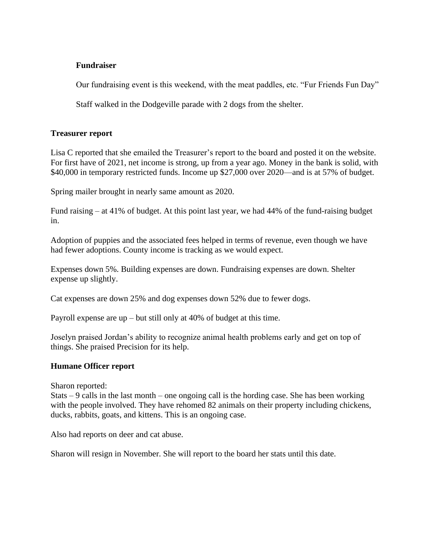### **Fundraiser**

Our fundraising event is this weekend, with the meat paddles, etc. "Fur Friends Fun Day"

Staff walked in the Dodgeville parade with 2 dogs from the shelter.

### **Treasurer report**

Lisa C reported that she emailed the Treasurer's report to the board and posted it on the website. For first have of 2021, net income is strong, up from a year ago. Money in the bank is solid, with \$40,000 in temporary restricted funds. Income up \$27,000 over 2020—and is at 57% of budget.

Spring mailer brought in nearly same amount as 2020.

Fund raising – at 41% of budget. At this point last year, we had 44% of the fund-raising budget in.

Adoption of puppies and the associated fees helped in terms of revenue, even though we have had fewer adoptions. County income is tracking as we would expect.

Expenses down 5%. Building expenses are down. Fundraising expenses are down. Shelter expense up slightly.

Cat expenses are down 25% and dog expenses down 52% due to fewer dogs.

Payroll expense are up – but still only at 40% of budget at this time.

Joselyn praised Jordan's ability to recognize animal health problems early and get on top of things. She praised Precision for its help.

### **Humane Officer report**

Sharon reported:

Stats  $-9$  calls in the last month – one ongoing call is the hording case. She has been working with the people involved. They have rehomed 82 animals on their property including chickens, ducks, rabbits, goats, and kittens. This is an ongoing case.

Also had reports on deer and cat abuse.

Sharon will resign in November. She will report to the board her stats until this date.